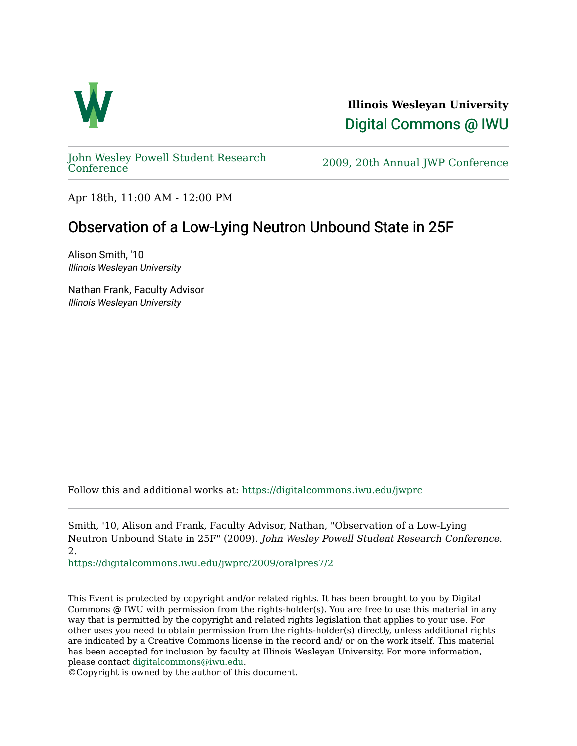

**Illinois Wesleyan University**  [Digital Commons @ IWU](https://digitalcommons.iwu.edu/) 

[John Wesley Powell Student Research](https://digitalcommons.iwu.edu/jwprc) 

2009, 20th Annual JWP [Conference](https://digitalcommons.iwu.edu/jwprc)

Apr 18th, 11:00 AM - 12:00 PM

## Observation of a Low-Lying Neutron Unbound State in 25F

Alison Smith, '10 Illinois Wesleyan University

Nathan Frank, Faculty Advisor Illinois Wesleyan University

Follow this and additional works at: [https://digitalcommons.iwu.edu/jwprc](https://digitalcommons.iwu.edu/jwprc?utm_source=digitalcommons.iwu.edu%2Fjwprc%2F2009%2Foralpres7%2F2&utm_medium=PDF&utm_campaign=PDFCoverPages) 

Smith, '10, Alison and Frank, Faculty Advisor, Nathan, "Observation of a Low-Lying Neutron Unbound State in 25F" (2009). John Wesley Powell Student Research Conference. 2.

[https://digitalcommons.iwu.edu/jwprc/2009/oralpres7/2](https://digitalcommons.iwu.edu/jwprc/2009/oralpres7/2?utm_source=digitalcommons.iwu.edu%2Fjwprc%2F2009%2Foralpres7%2F2&utm_medium=PDF&utm_campaign=PDFCoverPages)

This Event is protected by copyright and/or related rights. It has been brought to you by Digital Commons @ IWU with permission from the rights-holder(s). You are free to use this material in any way that is permitted by the copyright and related rights legislation that applies to your use. For other uses you need to obtain permission from the rights-holder(s) directly, unless additional rights are indicated by a Creative Commons license in the record and/ or on the work itself. This material has been accepted for inclusion by faculty at Illinois Wesleyan University. For more information, please contact [digitalcommons@iwu.edu.](mailto:digitalcommons@iwu.edu)

©Copyright is owned by the author of this document.